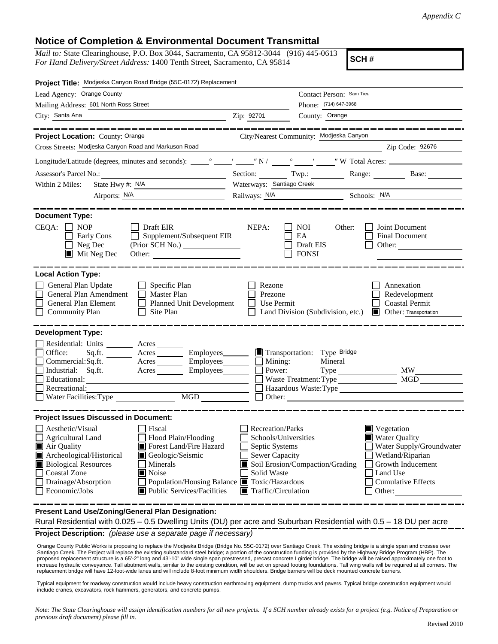## **Notice of Completion & Environmental Document Transmittal**

*Mail to:* State Clearinghouse, P.O. Box 3044, Sacramento, CA 95812-3044 (916) 445-0613 *For Hand Delivery/Street Address:* 1400 Tenth Street, Sacramento, CA 95814

**SCH #**

| Project Title: Modjeska Canyon Road Bridge (55C-0172) Replacement                                                                                                                                                                                                                                                                                                                          |                                                                                                                                                                                                                                                                                                                                    |                                                                                      |  |  |
|--------------------------------------------------------------------------------------------------------------------------------------------------------------------------------------------------------------------------------------------------------------------------------------------------------------------------------------------------------------------------------------------|------------------------------------------------------------------------------------------------------------------------------------------------------------------------------------------------------------------------------------------------------------------------------------------------------------------------------------|--------------------------------------------------------------------------------------|--|--|
| Lead Agency: Orange County                                                                                                                                                                                                                                                                                                                                                                 |                                                                                                                                                                                                                                                                                                                                    | Contact Person: Sam Tieu                                                             |  |  |
| Mailing Address: 601 North Ross Street                                                                                                                                                                                                                                                                                                                                                     |                                                                                                                                                                                                                                                                                                                                    | Phone: (714) 647-3968                                                                |  |  |
| City: Santa Ana                                                                                                                                                                                                                                                                                                                                                                            | County: Orange<br>Zip: 92701                                                                                                                                                                                                                                                                                                       |                                                                                      |  |  |
|                                                                                                                                                                                                                                                                                                                                                                                            |                                                                                                                                                                                                                                                                                                                                    |                                                                                      |  |  |
| Project Location: County: Orange                                                                                                                                                                                                                                                                                                                                                           | City/Nearest Community: Modjeska Canyon                                                                                                                                                                                                                                                                                            |                                                                                      |  |  |
| Cross Streets: Modjeska Canyon Road and Markuson Road                                                                                                                                                                                                                                                                                                                                      | <u> 1989 - Johann Barn, fransk politik fotograf (d. 1989)</u>                                                                                                                                                                                                                                                                      | Zip Code: 92676                                                                      |  |  |
|                                                                                                                                                                                                                                                                                                                                                                                            |                                                                                                                                                                                                                                                                                                                                    |                                                                                      |  |  |
| Assessor's Parcel No.:<br><u> 1990 - Johann Barbara, martxa alemaniar populari (</u>                                                                                                                                                                                                                                                                                                       |                                                                                                                                                                                                                                                                                                                                    | Section: Twp.: Range: Base:                                                          |  |  |
| Within 2 Miles:<br>State Hwy #: N/A                                                                                                                                                                                                                                                                                                                                                        | Waterways: Santiago Creek                                                                                                                                                                                                                                                                                                          |                                                                                      |  |  |
| Airports: <u>N/A</u>                                                                                                                                                                                                                                                                                                                                                                       |                                                                                                                                                                                                                                                                                                                                    | Railways: N/A Schools: N/A                                                           |  |  |
| <b>Document Type:</b><br>$CEQA: \Box NP$<br>$\Box$ Draft EIR<br>$\Box$ Supplement/Subsequent EIR<br>Early Cons<br>Neg Dec<br>$\blacksquare$ Mit Neg Dec                                                                                                                                                                                                                                    | NEPA:<br>NOI<br>EA<br>Draft EIS<br><b>FONSI</b>                                                                                                                                                                                                                                                                                    | Other:<br>Joint Document<br><b>Final Document</b><br>Other:                          |  |  |
| <b>Local Action Type:</b><br>General Plan Update<br>$\Box$ Specific Plan<br>General Plan Amendment<br>$\Box$ Master Plan<br>General Plan Element<br>Planned Unit Development<br><b>Community Plan</b><br>$\Box$ Site Plan                                                                                                                                                                  | Rezone<br>Prezone<br>Use Permit<br>Land Division (Subdivision, etc.)                                                                                                                                                                                                                                                               | Annexation<br>Redevelopment<br><b>Coastal Permit</b><br><b>Other:</b> Transportation |  |  |
| <b>Development Type:</b>                                                                                                                                                                                                                                                                                                                                                                   |                                                                                                                                                                                                                                                                                                                                    |                                                                                      |  |  |
| Residential: Units _________ Acres _______                                                                                                                                                                                                                                                                                                                                                 |                                                                                                                                                                                                                                                                                                                                    |                                                                                      |  |  |
| Acres _________ Employees________<br>Office:<br>Sq.fit.<br>$Commercial:Sq.fit.$ $\overline{\qquad}$ Acres $\overline{\qquad}$ Employees $\overline{\qquad}$ Mining:                                                                                                                                                                                                                        | Transportation: Type Bridge                                                                                                                                                                                                                                                                                                        | Mineral                                                                              |  |  |
| Industrial: $Sq.ft.$ $\overline{\qquad}$ Acres $\overline{\qquad}$ Employees $\overline{\qquad}$ Power:                                                                                                                                                                                                                                                                                    |                                                                                                                                                                                                                                                                                                                                    |                                                                                      |  |  |
| Educational:                                                                                                                                                                                                                                                                                                                                                                               |                                                                                                                                                                                                                                                                                                                                    | MGD<br>Waste Treatment: Type                                                         |  |  |
| Recreational:<br>Water Facilities: Type                                                                                                                                                                                                                                                                                                                                                    |                                                                                                                                                                                                                                                                                                                                    |                                                                                      |  |  |
|                                                                                                                                                                                                                                                                                                                                                                                            |                                                                                                                                                                                                                                                                                                                                    | Other:                                                                               |  |  |
| <b>Project Issues Discussed in Document:</b>                                                                                                                                                                                                                                                                                                                                               |                                                                                                                                                                                                                                                                                                                                    |                                                                                      |  |  |
| Aesthetic/Visual<br>Fiscal<br>Flood Plain/Flooding<br><b>Agricultural Land</b><br>Air Quality<br>Forest Land/Fire Hazard<br>Archeological/Historical<br>Geologic/Seismic<br><b>Biological Resources</b><br>Minerals<br><b>Coastal Zone</b><br>$\blacksquare$ Noise<br>Drainage/Absorption<br>Population/Housing Balance ■ Toxic/Hazardous<br>Economic/Jobs<br>■ Public Services/Facilities | <b>Recreation/Parks</b><br>Vegetation<br>Water Quality<br>Schools/Universities<br>Water Supply/Groundwater<br>Septic Systems<br>Sewer Capacity<br>Wetland/Riparian<br>Soil Erosion/Compaction/Grading<br>Growth Inducement<br>Solid Waste<br>Land Use<br><b>Cumulative Effects</b><br>$\blacksquare$ Traffic/Circulation<br>Other: |                                                                                      |  |  |
| Procent Land Lloe/Zening/Ceneral Plan Decignation                                                                                                                                                                                                                                                                                                                                          |                                                                                                                                                                                                                                                                                                                                    |                                                                                      |  |  |

**Present Land Use/Zoning/General Plan Designation:**

**Project Description:** *(please use a separate page if necessary)* Rural Residential with 0.025 – 0.5 Dwelling Units (DU) per acre and Suburban Residential with 0.5 – 18 DU per acre

 Orange County Public Works is proposing to replace the Modjeska Bridge (Bridge No. 55C-0172) over Santiago Creek. The existing bridge is a single span and crosses over Santiago Creek. The Project will replace the existing substandard steel bridge; a portion of the construction funding is provided by the Highway Bridge Program (HBP). The proposed replacement structure is a 65'-2" long and 43'-10" wide single span prestressed, precast concrete I girder bridge. The bridge will be raised approximately one foot to increase hydraulic conveyance. Tall abutment walls, similar to the existing condition, will be set on spread footing foundations. Tall wing walls will be required at all corners. The replacement bridge will have 12-foot-wide lanes and will include 8-foot minimum width shoulders. Bridge barriers will be deck mounted concrete barriers.

Typical equipment for roadway construction would include heavy construction earthmoving equipment, dump trucks and pavers. Typical bridge construction equipment would include cranes, excavators, rock hammers, generators, and concrete pumps.

*Note: The State Clearinghouse will assign identification numbers for all new projects. If a SCH number already exists for a project (e.g. Notice of Preparation or previous draft document) please fill in.*